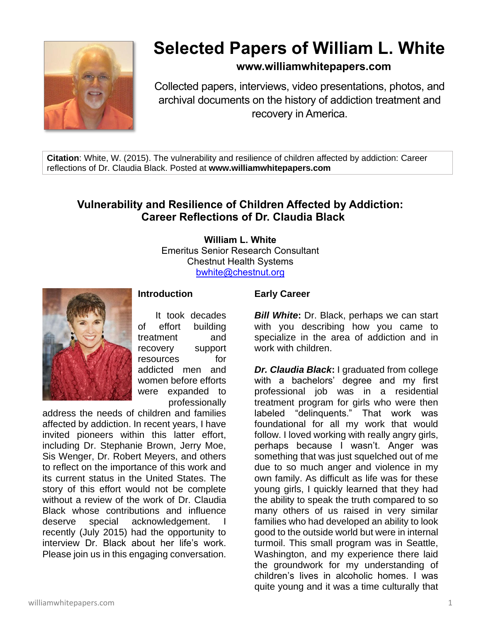

# **Selected Papers of William L. White**

## **www.williamwhitepapers.com**

Collected papers, interviews, video presentations, photos, and archival documents on the history of addiction treatment and recovery in America.

**Citation**: White, W. (2015). The vulnerability and resilience of children affected by addiction: Career reflections of Dr. Claudia Black. Posted at **www.williamwhitepapers.com**

## **Vulnerability and Resilience of Children Affected by Addiction: Career Reflections of Dr. Claudia Black**

**William L. White** Emeritus Senior Research Consultant Chestnut Health Systems [bwhite@chestnut.org](mailto:bwhite@chestnut.org)



**Introduction**

It took decades of effort building treatment and recovery support resources for addicted men and women before efforts were expanded to professionally

address the needs of children and families affected by addiction. In recent years, I have invited pioneers within this latter effort, including Dr. Stephanie Brown, Jerry Moe, Sis Wenger, Dr. Robert Meyers, and others to reflect on the importance of this work and its current status in the United States. The story of this effort would not be complete without a review of the work of Dr. Claudia Black whose contributions and influence deserve special acknowledgement. recently (July 2015) had the opportunity to interview Dr. Black about her life's work. Please join us in this engaging conversation.

#### **Early Career**

*Bill White***:** Dr. Black, perhaps we can start with you describing how you came to specialize in the area of addiction and in work with children.

*Dr. Claudia Black***:** I graduated from college with a bachelors' degree and my first professional job was in a residential treatment program for girls who were then labeled "delinquents." That work was foundational for all my work that would follow. I loved working with really angry girls, perhaps because I wasn't. Anger was something that was just squelched out of me due to so much anger and violence in my own family. As difficult as life was for these young girls, I quickly learned that they had the ability to speak the truth compared to so many others of us raised in very similar families who had developed an ability to look good to the outside world but were in internal turmoil. This small program was in Seattle, Washington, and my experience there laid the groundwork for my understanding of children's lives in alcoholic homes. I was quite young and it was a time culturally that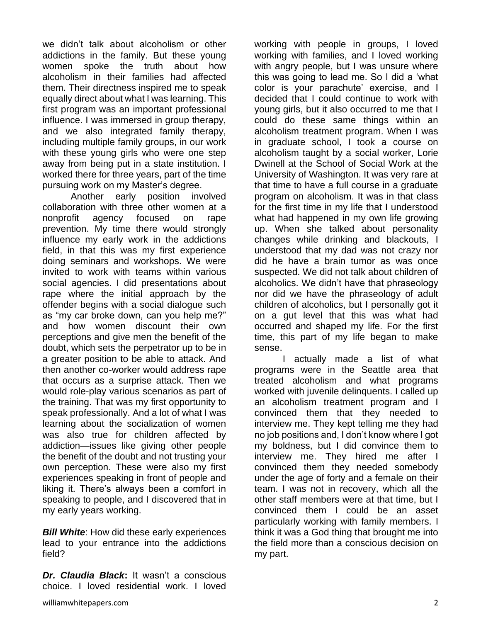we didn't talk about alcoholism or other addictions in the family. But these young women spoke the truth about how alcoholism in their families had affected them. Their directness inspired me to speak equally direct about what I was learning. This first program was an important professional influence. I was immersed in group therapy, and we also integrated family therapy, including multiple family groups, in our work with these young girls who were one step away from being put in a state institution. I worked there for three years, part of the time pursuing work on my Master's degree.

Another early position involved collaboration with three other women at a nonprofit agency focused on rape prevention. My time there would strongly influence my early work in the addictions field, in that this was my first experience doing seminars and workshops. We were invited to work with teams within various social agencies. I did presentations about rape where the initial approach by the offender begins with a social dialogue such as "my car broke down, can you help me?" and how women discount their own perceptions and give men the benefit of the doubt, which sets the perpetrator up to be in a greater position to be able to attack. And then another co-worker would address rape that occurs as a surprise attack. Then we would role-play various scenarios as part of the training. That was my first opportunity to speak professionally. And a lot of what I was learning about the socialization of women was also true for children affected by addiction—issues like giving other people the benefit of the doubt and not trusting your own perception. These were also my first experiences speaking in front of people and liking it. There's always been a comfort in speaking to people, and I discovered that in my early years working.

*Bill White:* How did these early experiences lead to your entrance into the addictions field?

*Dr. Claudia Black***:** It wasn't a conscious choice. I loved residential work. I loved working with people in groups, I loved working with families, and I loved working with angry people, but I was unsure where this was going to lead me. So I did a 'what color is your parachute' exercise, and I decided that I could continue to work with young girls, but it also occurred to me that I could do these same things within an alcoholism treatment program. When I was in graduate school, I took a course on alcoholism taught by a social worker, Lorie Dwinell at the School of Social Work at the University of Washington. It was very rare at that time to have a full course in a graduate program on alcoholism. It was in that class for the first time in my life that I understood what had happened in my own life growing up. When she talked about personality changes while drinking and blackouts, I understood that my dad was not crazy nor did he have a brain tumor as was once suspected. We did not talk about children of alcoholics. We didn't have that phraseology nor did we have the phraseology of adult children of alcoholics, but I personally got it on a gut level that this was what had occurred and shaped my life. For the first time, this part of my life began to make sense.

I actually made a list of what programs were in the Seattle area that treated alcoholism and what programs worked with juvenile delinquents. I called up an alcoholism treatment program and I convinced them that they needed to interview me. They kept telling me they had no job positions and, I don't know where I got my boldness, but I did convince them to interview me. They hired me after I convinced them they needed somebody under the age of forty and a female on their team. I was not in recovery, which all the other staff members were at that time, but I convinced them I could be an asset particularly working with family members. I think it was a God thing that brought me into the field more than a conscious decision on my part.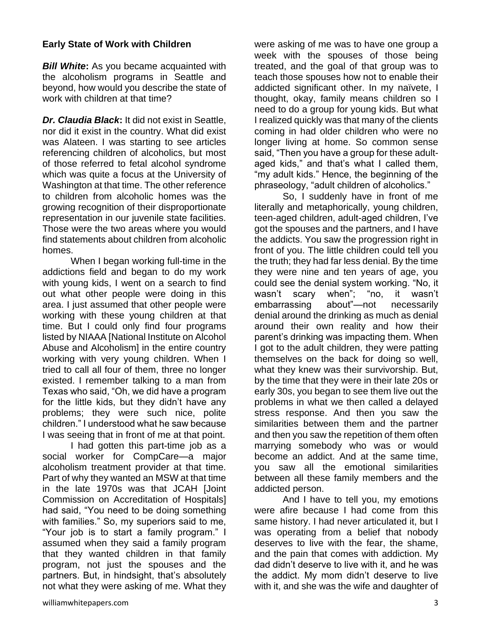#### **Early State of Work with Children**

*Bill White***:** As you became acquainted with the alcoholism programs in Seattle and beyond, how would you describe the state of work with children at that time?

*Dr. Claudia Black***:** It did not exist in Seattle, nor did it exist in the country. What did exist was Alateen. I was starting to see articles referencing children of alcoholics, but most of those referred to fetal alcohol syndrome which was quite a focus at the University of Washington at that time. The other reference to children from alcoholic homes was the growing recognition of their disproportionate representation in our juvenile state facilities. Those were the two areas where you would find statements about children from alcoholic homes.

When I began working full-time in the addictions field and began to do my work with young kids, I went on a search to find out what other people were doing in this area. I just assumed that other people were working with these young children at that time. But I could only find four programs listed by NIAAA [National Institute on Alcohol Abuse and Alcoholism] in the entire country working with very young children. When I tried to call all four of them, three no longer existed. I remember talking to a man from Texas who said, "Oh, we did have a program for the little kids, but they didn't have any problems; they were such nice, polite children." I understood what he saw because I was seeing that in front of me at that point.

I had gotten this part-time job as a social worker for CompCare—a major alcoholism treatment provider at that time. Part of why they wanted an MSW at that time in the late 1970s was that JCAH [Joint Commission on Accreditation of Hospitals] had said, "You need to be doing something with families." So, my superiors said to me, "Your job is to start a family program." I assumed when they said a family program that they wanted children in that family program, not just the spouses and the partners. But, in hindsight, that's absolutely not what they were asking of me. What they were asking of me was to have one group a week with the spouses of those being treated, and the goal of that group was to teach those spouses how not to enable their addicted significant other. In my naïvete, I thought, okay, family means children so I need to do a group for young kids. But what I realized quickly was that many of the clients coming in had older children who were no longer living at home. So common sense said, "Then you have a group for these adultaged kids," and that's what I called them, "my adult kids." Hence, the beginning of the phraseology, "adult children of alcoholics."

So, I suddenly have in front of me literally and metaphorically, young children, teen-aged children, adult-aged children, I've got the spouses and the partners, and I have the addicts. You saw the progression right in front of you. The little children could tell you the truth; they had far less denial. By the time they were nine and ten years of age, you could see the denial system working. "No, it wasn't scary when"; "no, it wasn't embarrassing about"—not necessarily denial around the drinking as much as denial around their own reality and how their parent's drinking was impacting them. When I got to the adult children, they were patting themselves on the back for doing so well, what they knew was their survivorship. But, by the time that they were in their late 20s or early 30s, you began to see them live out the problems in what we then called a delayed stress response. And then you saw the similarities between them and the partner and then you saw the repetition of them often marrying somebody who was or would become an addict. And at the same time, you saw all the emotional similarities between all these family members and the addicted person.

And I have to tell you, my emotions were afire because I had come from this same history. I had never articulated it, but I was operating from a belief that nobody deserves to live with the fear, the shame, and the pain that comes with addiction. My dad didn't deserve to live with it, and he was the addict. My mom didn't deserve to live with it, and she was the wife and daughter of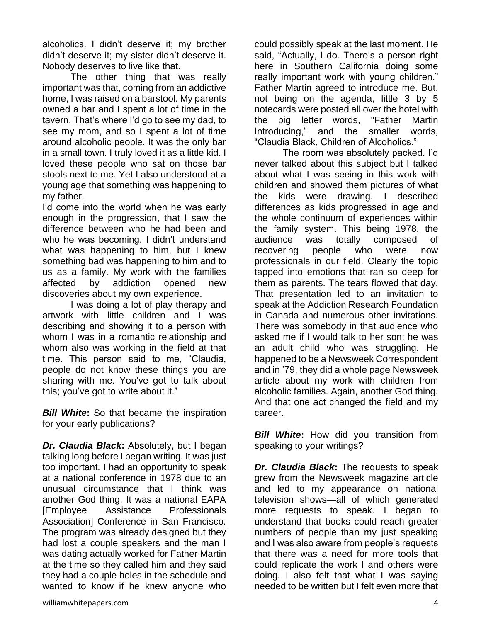alcoholics. I didn't deserve it; my brother didn't deserve it; my sister didn't deserve it. Nobody deserves to live like that.

The other thing that was really important was that, coming from an addictive home, I was raised on a barstool. My parents owned a bar and I spent a lot of time in the tavern. That's where I'd go to see my dad, to see my mom, and so I spent a lot of time around alcoholic people. It was the only bar in a small town. I truly loved it as a little kid. I loved these people who sat on those bar stools next to me. Yet I also understood at a young age that something was happening to my father.

I'd come into the world when he was early enough in the progression, that I saw the difference between who he had been and who he was becoming. I didn't understand what was happening to him, but I knew something bad was happening to him and to us as a family. My work with the families affected by addiction opened new discoveries about my own experience.

I was doing a lot of play therapy and artwork with little children and I was describing and showing it to a person with whom I was in a romantic relationship and whom also was working in the field at that time. This person said to me, "Claudia, people do not know these things you are sharing with me. You've got to talk about this; you've got to write about it."

*Bill White***:** So that became the inspiration for your early publications?

*Dr. Claudia Black***:** Absolutely, but I began talking long before I began writing. It was just too important. I had an opportunity to speak at a national conference in 1978 due to an unusual circumstance that I think was another God thing. It was a national EAPA [Employee Assistance Professionals Association] Conference in San Francisco. The program was already designed but they had lost a couple speakers and the man I was dating actually worked for Father Martin at the time so they called him and they said they had a couple holes in the schedule and wanted to know if he knew anyone who

could possibly speak at the last moment. He said, "Actually, I do. There's a person right here in Southern California doing some really important work with young children." Father Martin agreed to introduce me. But, not being on the agenda, little 3 by 5 notecards were posted all over the hotel with the big letter words, "Father Martin Introducing," and the smaller words, "Claudia Black, Children of Alcoholics."

The room was absolutely packed. I'd never talked about this subject but I talked about what I was seeing in this work with children and showed them pictures of what the kids were drawing. I described differences as kids progressed in age and the whole continuum of experiences within the family system. This being 1978, the audience was totally composed of recovering people who were now professionals in our field. Clearly the topic tapped into emotions that ran so deep for them as parents. The tears flowed that day. That presentation led to an invitation to speak at the Addiction Research Foundation in Canada and numerous other invitations. There was somebody in that audience who asked me if I would talk to her son: he was an adult child who was struggling. He happened to be a Newsweek Correspondent and in '79, they did a whole page Newsweek article about my work with children from alcoholic families. Again, another God thing. And that one act changed the field and my career.

**Bill White:** How did you transition from speaking to your writings?

*Dr. Claudia Black***:** The requests to speak grew from the Newsweek magazine article and led to my appearance on national television shows—all of which generated more requests to speak. I began to understand that books could reach greater numbers of people than my just speaking and I was also aware from people's requests that there was a need for more tools that could replicate the work I and others were doing. I also felt that what I was saying needed to be written but I felt even more that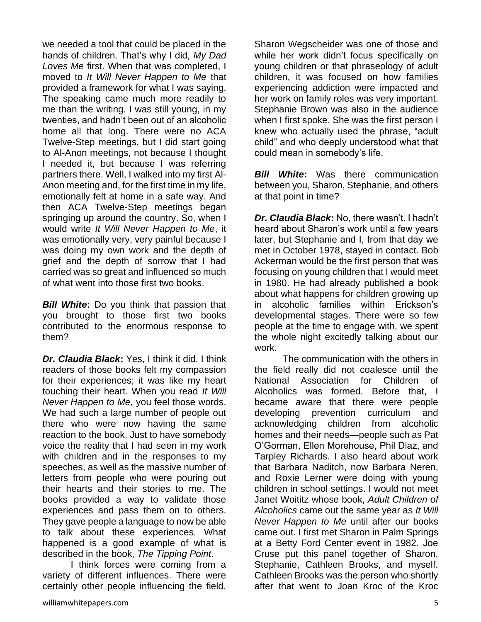we needed a tool that could be placed in the hands of children. That's why I did, *My Dad Loves Me* first. When that was completed, I moved to *It Will Never Happen to Me* that provided a framework for what I was saying. The speaking came much more readily to me than the writing. I was still young, in my twenties, and hadn't been out of an alcoholic home all that long. There were no ACA Twelve-Step meetings, but I did start going to Al-Anon meetings, not because I thought I needed it, but because I was referring partners there. Well, I walked into my first Al-Anon meeting and, for the first time in my life, emotionally felt at home in a safe way. And then ACA Twelve-Step meetings began springing up around the country. So, when I would write *It Will Never Happen to Me*, it was emotionally very, very painful because I was doing my own work and the depth of grief and the depth of sorrow that I had carried was so great and influenced so much of what went into those first two books.

*Bill White***:** Do you think that passion that you brought to those first two books contributed to the enormous response to them?

*Dr. Claudia Black***:** Yes, I think it did. I think readers of those books felt my compassion for their experiences; it was like my heart touching their heart. When you read *It Will Never Happen to Me,* you feel those words. We had such a large number of people out there who were now having the same reaction to the book. Just to have somebody voice the reality that I had seen in my work with children and in the responses to my speeches, as well as the massive number of letters from people who were pouring out their hearts and their stories to me. The books provided a way to validate those experiences and pass them on to others. They gave people a language to now be able to talk about these experiences. What happened is a good example of what is described in the book, *The Tipping Point*.

I think forces were coming from a variety of different influences. There were certainly other people influencing the field.

Sharon Wegscheider was one of those and while her work didn't focus specifically on young children or that phraseology of adult children, it was focused on how families experiencing addiction were impacted and her work on family roles was very important. Stephanie Brown was also in the audience when I first spoke. She was the first person I knew who actually used the phrase, "adult child" and who deeply understood what that could mean in somebody's life.

*Bill White***:** Was there communication between you, Sharon, Stephanie, and others at that point in time?

*Dr. Claudia Black***:** No, there wasn't. I hadn't heard about Sharon's work until a few years later, but Stephanie and I, from that day we met in October 1978, stayed in contact. Bob Ackerman would be the first person that was focusing on young children that I would meet in 1980. He had already published a book about what happens for children growing up in alcoholic families within Erickson's developmental stages. There were so few people at the time to engage with, we spent the whole night excitedly talking about our work.

The communication with the others in the field really did not coalesce until the National Association for Children of Alcoholics was formed. Before that, I became aware that there were people developing prevention curriculum and acknowledging children from alcoholic homes and their needs—people such as Pat O'Gorman, Ellen Morehouse, Phil Diaz, and Tarpley Richards. I also heard about work that Barbara Naditch, now Barbara Neren, and Roxie Lerner were doing with young children in school settings. I would not meet Janet Woititz whose book, *Adult Children of Alcoholics* came out the same year as *It Will Never Happen to Me* until after our books came out. I first met Sharon in Palm Springs at a Betty Ford Center event in 1982. Joe Cruse put this panel together of Sharon, Stephanie, Cathleen Brooks, and myself. Cathleen Brooks was the person who shortly after that went to Joan Kroc of the Kroc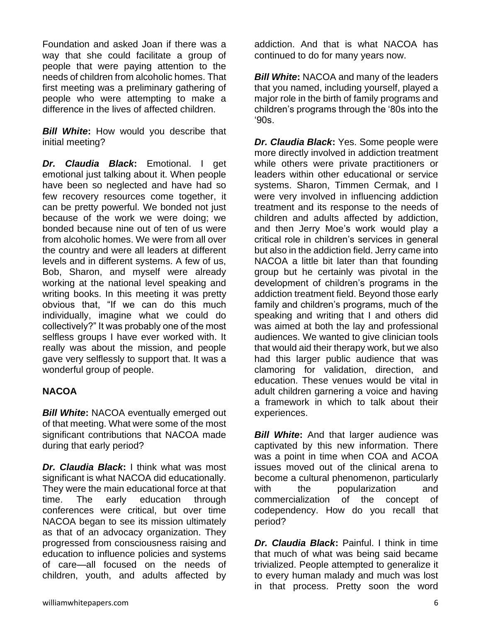Foundation and asked Joan if there was a way that she could facilitate a group of people that were paying attention to the needs of children from alcoholic homes. That first meeting was a preliminary gathering of people who were attempting to make a difference in the lives of affected children.

*Bill White***:** How would you describe that initial meeting?

*Dr. Claudia Black***:** Emotional. I get emotional just talking about it. When people have been so neglected and have had so few recovery resources come together, it can be pretty powerful. We bonded not just because of the work we were doing; we bonded because nine out of ten of us were from alcoholic homes. We were from all over the country and were all leaders at different levels and in different systems. A few of us, Bob, Sharon, and myself were already working at the national level speaking and writing books. In this meeting it was pretty obvious that, "If we can do this much individually, imagine what we could do collectively?" It was probably one of the most selfless groups I have ever worked with. It really was about the mission, and people gave very selflessly to support that. It was a wonderful group of people.

#### **NACOA**

*Bill White***:** NACOA eventually emerged out of that meeting. What were some of the most significant contributions that NACOA made during that early period?

*Dr. Claudia Black***:** I think what was most significant is what NACOA did educationally. They were the main educational force at that time. The early education through conferences were critical, but over time NACOA began to see its mission ultimately as that of an advocacy organization. They progressed from consciousness raising and education to influence policies and systems of care—all focused on the needs of children, youth, and adults affected by

addiction. And that is what NACOA has continued to do for many years now.

*Bill White***:** NACOA and many of the leaders that you named, including yourself, played a major role in the birth of family programs and children's programs through the '80s into the '90s.

*Dr. Claudia Black***:** Yes. Some people were more directly involved in addiction treatment while others were private practitioners or leaders within other educational or service systems. Sharon, Timmen Cermak, and I were very involved in influencing addiction treatment and its response to the needs of children and adults affected by addiction, and then Jerry Moe's work would play a critical role in children's services in general but also in the addiction field. Jerry came into NACOA a little bit later than that founding group but he certainly was pivotal in the development of children's programs in the addiction treatment field. Beyond those early family and children's programs, much of the speaking and writing that I and others did was aimed at both the lay and professional audiences. We wanted to give clinician tools that would aid their therapy work, but we also had this larger public audience that was clamoring for validation, direction, and education. These venues would be vital in adult children garnering a voice and having a framework in which to talk about their experiences.

*Bill White:* And that larger audience was captivated by this new information. There was a point in time when COA and ACOA issues moved out of the clinical arena to become a cultural phenomenon, particularly with the popularization and commercialization of the concept of codependency. How do you recall that period?

*Dr. Claudia Black***:** Painful. I think in time that much of what was being said became trivialized. People attempted to generalize it to every human malady and much was lost in that process. Pretty soon the word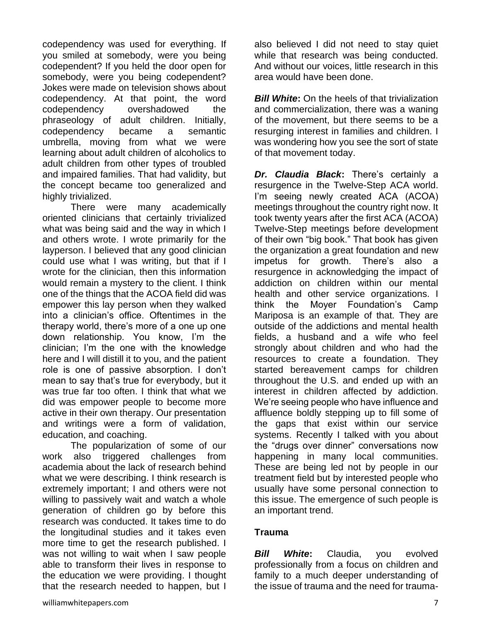codependency was used for everything. If you smiled at somebody, were you being codependent? If you held the door open for somebody, were you being codependent? Jokes were made on television shows about codependency. At that point, the word codependency overshadowed the phraseology of adult children. Initially, codependency became a semantic umbrella, moving from what we were learning about adult children of alcoholics to adult children from other types of troubled and impaired families. That had validity, but the concept became too generalized and highly trivialized.

There were many academically oriented clinicians that certainly trivialized what was being said and the way in which I and others wrote. I wrote primarily for the layperson. I believed that any good clinician could use what I was writing, but that if I wrote for the clinician, then this information would remain a mystery to the client. I think one of the things that the ACOA field did was empower this lay person when they walked into a clinician's office. Oftentimes in the therapy world, there's more of a one up one down relationship. You know, I'm the clinician; I'm the one with the knowledge here and I will distill it to you, and the patient role is one of passive absorption. I don't mean to say that's true for everybody, but it was true far too often. I think that what we did was empower people to become more active in their own therapy. Our presentation and writings were a form of validation, education, and coaching.

The popularization of some of our work also triggered challenges from academia about the lack of research behind what we were describing. I think research is extremely important; I and others were not willing to passively wait and watch a whole generation of children go by before this research was conducted. It takes time to do the longitudinal studies and it takes even more time to get the research published. I was not willing to wait when I saw people able to transform their lives in response to the education we were providing. I thought that the research needed to happen, but I

also believed I did not need to stay quiet while that research was being conducted. And without our voices, little research in this area would have been done.

*Bill White:* On the heels of that trivialization and commercialization, there was a waning of the movement, but there seems to be a resurging interest in families and children. I was wondering how you see the sort of state of that movement today.

*Dr. Claudia Black***:** There's certainly a resurgence in the Twelve-Step ACA world. I'm seeing newly created ACA (ACOA) meetings throughout the country right now. It took twenty years after the first ACA (ACOA) Twelve-Step meetings before development of their own "big book." That book has given the organization a great foundation and new impetus for growth. There's also a resurgence in acknowledging the impact of addiction on children within our mental health and other service organizations. I think the Moyer Foundation's Camp Mariposa is an example of that. They are outside of the addictions and mental health fields, a husband and a wife who feel strongly about children and who had the resources to create a foundation. They started bereavement camps for children throughout the U.S. and ended up with an interest in children affected by addiction. We're seeing people who have influence and affluence boldly stepping up to fill some of the gaps that exist within our service systems. Recently I talked with you about the "drugs over dinner" conversations now happening in many local communities. These are being led not by people in our treatment field but by interested people who usually have some personal connection to this issue. The emergence of such people is an important trend.

#### **Trauma**

*Bill White***:** Claudia, you evolved professionally from a focus on children and family to a much deeper understanding of the issue of trauma and the need for trauma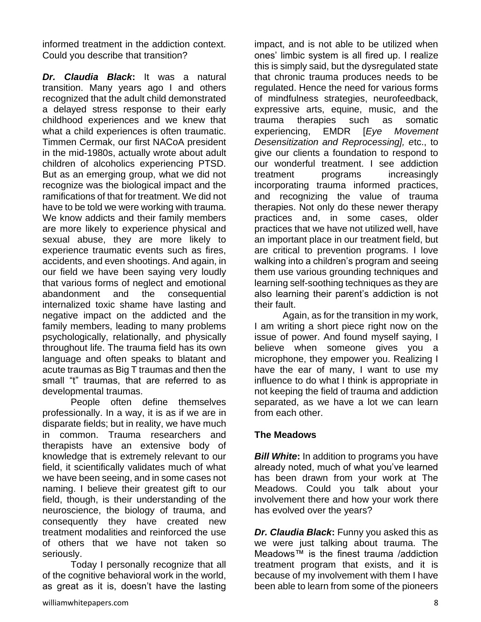informed treatment in the addiction context. Could you describe that transition?

*Dr. Claudia Black***:** It was a natural transition. Many years ago I and others recognized that the adult child demonstrated a delayed stress response to their early childhood experiences and we knew that what a child experiences is often traumatic. Timmen Cermak, our first NACoA president in the mid-1980s, actually wrote about adult children of alcoholics experiencing PTSD. But as an emerging group, what we did not recognize was the biological impact and the ramifications of that for treatment. We did not have to be told we were working with trauma. We know addicts and their family members are more likely to experience physical and sexual abuse, they are more likely to experience traumatic events such as fires, accidents, and even shootings. And again, in our field we have been saying very loudly that various forms of neglect and emotional abandonment and the consequential internalized toxic shame have lasting and negative impact on the addicted and the family members, leading to many problems psychologically, relationally, and physically throughout life. The trauma field has its own language and often speaks to blatant and acute traumas as Big T traumas and then the small "t" traumas, that are referred to as developmental traumas.

People often define themselves professionally. In a way, it is as if we are in disparate fields; but in reality, we have much in common. Trauma researchers and therapists have an extensive body of knowledge that is extremely relevant to our field, it scientifically validates much of what we have been seeing, and in some cases not naming. I believe their greatest gift to our field, though, is their understanding of the neuroscience, the biology of trauma, and consequently they have created new treatment modalities and reinforced the use of others that we have not taken so seriously.

Today I personally recognize that all of the cognitive behavioral work in the world, as great as it is, doesn't have the lasting

impact, and is not able to be utilized when ones' limbic system is all fired up. I realize this is simply said, but the dysregulated state that chronic trauma produces needs to be regulated. Hence the need for various forms of mindfulness strategies, neurofeedback, expressive arts, equine, music, and the trauma therapies such as somatic experiencing, EMDR [*Eye Movement Desensitization and Reprocessing], e*tc., to give our clients a foundation to respond to our wonderful treatment. I see addiction treatment programs increasingly incorporating trauma informed practices, and recognizing the value of trauma therapies. Not only do these newer therapy practices and, in some cases, older practices that we have not utilized well, have an important place in our treatment field, but are critical to prevention programs. I love walking into a children's program and seeing them use various grounding techniques and learning self-soothing techniques as they are also learning their parent's addiction is not their fault.

Again, as for the transition in my work, I am writing a short piece right now on the issue of power. And found myself saying, I believe when someone gives you a microphone, they empower you. Realizing I have the ear of many, I want to use my influence to do what I think is appropriate in not keeping the field of trauma and addiction separated, as we have a lot we can learn from each other.

#### **The Meadows**

*Bill White***:** In addition to programs you have already noted, much of what you've learned has been drawn from your work at The Meadows. Could you talk about your involvement there and how your work there has evolved over the years?

*Dr. Claudia Black***:** Funny you asked this as we were just talking about trauma. The Meadows™ is the finest trauma /addiction treatment program that exists, and it is because of my involvement with them I have been able to learn from some of the pioneers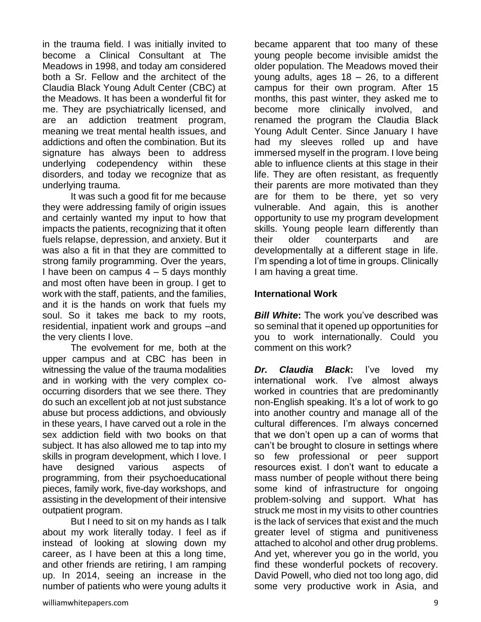in the trauma field. I was initially invited to become a Clinical Consultant at The Meadows in 1998, and today am considered both a Sr. Fellow and the architect of the Claudia Black Young Adult Center (CBC) at the Meadows. It has been a wonderful fit for me. They are psychiatrically licensed, and are an addiction treatment program, meaning we treat mental health issues, and addictions and often the combination. But its signature has always been to address underlying codependency within these disorders, and today we recognize that as underlying trauma.

It was such a good fit for me because they were addressing family of origin issues and certainly wanted my input to how that impacts the patients, recognizing that it often fuels relapse, depression, and anxiety. But it was also a fit in that they are committed to strong family programming. Over the years, I have been on campus  $4 - 5$  days monthly and most often have been in group. I get to work with the staff, patients, and the families, and it is the hands on work that fuels my soul. So it takes me back to my roots, residential, inpatient work and groups –and the very clients I love.

The evolvement for me, both at the upper campus and at CBC has been in witnessing the value of the trauma modalities and in working with the very complex cooccurring disorders that we see there. They do such an excellent job at not just substance abuse but process addictions, and obviously in these years, I have carved out a role in the sex addiction field with two books on that subject. It has also allowed me to tap into my skills in program development, which I love. I have designed various aspects of programming, from their psychoeducational pieces, family work, five-day workshops, and assisting in the development of their intensive outpatient program.

But I need to sit on my hands as I talk about my work literally today. I feel as if instead of looking at slowing down my career, as I have been at this a long time, and other friends are retiring, I am ramping up. In 2014, seeing an increase in the number of patients who were young adults it

became apparent that too many of these young people become invisible amidst the older population. The Meadows moved their young adults, ages 18 – 26, to a different campus for their own program. After 15 months, this past winter, they asked me to become more clinically involved, and renamed the program the Claudia Black Young Adult Center. Since January I have had my sleeves rolled up and have immersed myself in the program. I love being able to influence clients at this stage in their life. They are often resistant, as frequently their parents are more motivated than they are for them to be there, yet so very vulnerable. And again, this is another opportunity to use my program development skills. Young people learn differently than their older counterparts and are developmentally at a different stage in life. I'm spending a lot of time in groups. Clinically I am having a great time.

### **International Work**

*Bill White:* The work you've described was so seminal that it opened up opportunities for you to work internationally. Could you comment on this work?

*Dr. Claudia Black***:** I've loved my international work. I've almost always worked in countries that are predominantly non-English speaking. It's a lot of work to go into another country and manage all of the cultural differences. I'm always concerned that we don't open up a can of worms that can't be brought to closure in settings where so few professional or peer support resources exist. I don't want to educate a mass number of people without there being some kind of infrastructure for ongoing problem-solving and support. What has struck me most in my visits to other countries is the lack of services that exist and the much greater level of stigma and punitiveness attached to alcohol and other drug problems. And yet, wherever you go in the world, you find these wonderful pockets of recovery. David Powell, who died not too long ago, did some very productive work in Asia, and